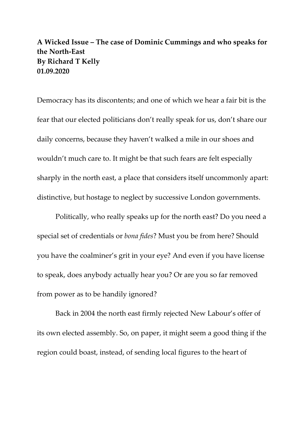## **A Wicked Issue – The case of Dominic Cummings and who speaks for the North-East By Richard T Kelly 01.09.2020**

Democracy has its discontents; and one of which we hear a fair bit is the fear that our elected politicians don't really speak for us, don't share our daily concerns, because they haven't walked a mile in our shoes and wouldn't much care to. It might be that such fears are felt especially sharply in the north east, a place that considers itself uncommonly apart: distinctive, but hostage to neglect by successive London governments.

Politically, who really speaks up for the north east? Do you need a special set of credentials or *bona fides*? Must you be from here? Should you have the coalminer's grit in your eye? And even if you have license to speak, does anybody actually hear you? Or are you so far removed from power as to be handily ignored?

Back in 2004 the north east firmly rejected New Labour's offer of its own elected assembly. So, on paper, it might seem a good thing if the region could boast, instead, of sending local figures to the heart of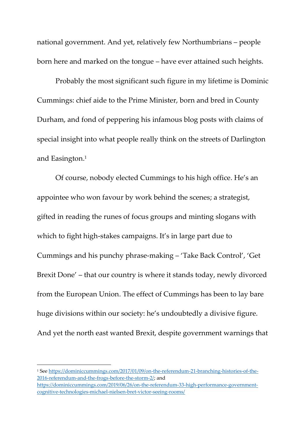national government. And yet, relatively few Northumbrians – people born here and marked on the tongue – have ever attained such heights.

Probably the most significant such figure in my lifetime is Dominic Cummings: chief aide to the Prime Minister, born and bred in County Durham, and fond of peppering his infamous blog posts with claims of special insight into what people really think on the streets of Darlington and Easington. 1

Of course, nobody elected Cummings to his high office. He's an appointee who won favour by work behind the scenes; a strategist, gifted in reading the runes of focus groups and minting slogans with which to fight high-stakes campaigns. It's in large part due to Cummings and his punchy phrase-making – 'Take Back Control', 'Get Brexit Done' – that our country is where it stands today, newly divorced from the European Union. The effect of Cummings has been to lay bare huge divisions within our society: he's undoubtedly a divisive figure. And yet the north east wanted Brexit, despite government warnings that

<sup>1</sup> See [https://dominiccummings.com/2017/01/09/on-the-referendum-21-branching-histories-of-the-](https://dominiccummings.com/2017/01/09/on-the-referendum-21-branching-histories-of-the-2016-referendum-and-the-frogs-before-the-storm-2/)[2016-referendum-and-the-frogs-before-the-storm-2/;](https://dominiccummings.com/2017/01/09/on-the-referendum-21-branching-histories-of-the-2016-referendum-and-the-frogs-before-the-storm-2/) and [https://dominiccummings.com/2019/06/26/on-the-referendum-33-high-performance-government](https://dominiccummings.com/2019/06/26/on-the-referendum-33-high-performance-government-cognitive-technologies-michael-nielsen-bret-victor-seeing-rooms/)[cognitive-technologies-michael-nielsen-bret-victor-seeing-rooms/](https://dominiccummings.com/2019/06/26/on-the-referendum-33-high-performance-government-cognitive-technologies-michael-nielsen-bret-victor-seeing-rooms/)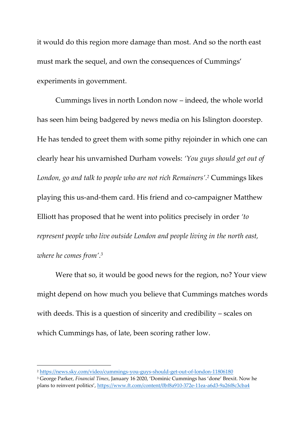it would do this region more damage than most. And so the north east must mark the sequel, and own the consequences of Cummings' experiments in government.

Cummings lives in north London now – indeed, the whole world has seen him being badgered by news media on his Islington doorstep. He has tended to greet them with some pithy rejoinder in which one can clearly hear his unvarnished Durham vowels: *'You guys should get out of London, go and talk to people who are not rich Remainers'. <sup>2</sup>* Cummings likes playing this us-and-them card. His friend and co-campaigner Matthew Elliott has proposed that he went into politics precisely in order *'to represent people who live outside London and people living in the north east, where he comes from'. 3*

Were that so, it would be good news for the region, no? Your view might depend on how much you believe that Cummings matches words with deeds. This is a question of sincerity and credibility – scales on which Cummings has, of late, been scoring rather low.

<sup>2</sup> <https://news.sky.com/video/cummings-you-guys-should-get-out-of-london-11806180>

<sup>3</sup> George Parker, *Financial Times*, January 16 2020, 'Dominic Cummings has 'done' Brexit. Now he plans to reinvent politics', <https://www.ft.com/content/0bf8a910-372e-11ea-a6d3-9a26f8c3cba4>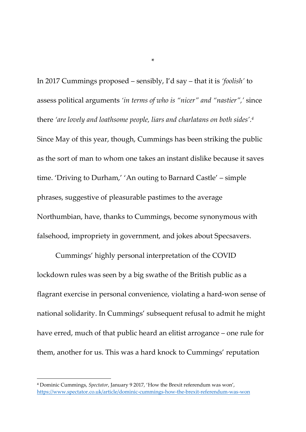In 2017 Cummings proposed – sensibly, I'd say – that it is *'foolish'* to assess political arguments *'in terms of who is "nicer" and "nastier",'* since there *'are lovely and loathsome people, liars and charlatans on both sides'. 4* Since May of this year, though, Cummings has been striking the public as the sort of man to whom one takes an instant dislike because it saves time. 'Driving to Durham,' 'An outing to Barnard Castle' – simple phrases, suggestive of pleasurable pastimes to the average Northumbian, have, thanks to Cummings, become synonymous with falsehood, impropriety in government, and jokes about Specsavers.

\*

Cummings' highly personal interpretation of the COVID lockdown rules was seen by a big swathe of the British public as a flagrant exercise in personal convenience, violating a hard-won sense of national solidarity. In Cummings' subsequent refusal to admit he might have erred, much of that public heard an elitist arrogance – one rule for them, another for us. This was a hard knock to Cummings' reputation

<sup>4</sup> Dominic Cummings, *Spectator*, January 9 2017, 'How the Brexit referendum was won', <https://www.spectator.co.uk/article/dominic-cummings-how-the-brexit-referendum-was-won>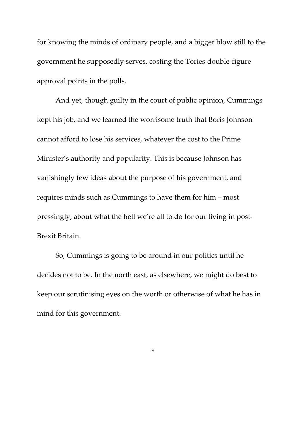for knowing the minds of ordinary people, and a bigger blow still to the government he supposedly serves, costing the Tories double-figure approval points in the polls.

And yet, though guilty in the court of public opinion, Cummings kept his job, and we learned the worrisome truth that Boris Johnson cannot afford to lose his services, whatever the cost to the Prime Minister's authority and popularity. This is because Johnson has vanishingly few ideas about the purpose of his government, and requires minds such as Cummings to have them for him – most pressingly, about what the hell we're all to do for our living in post-Brexit Britain.

So, Cummings is going to be around in our politics until he decides not to be. In the north east, as elsewhere, we might do best to keep our scrutinising eyes on the worth or otherwise of what he has in mind for this government.

\*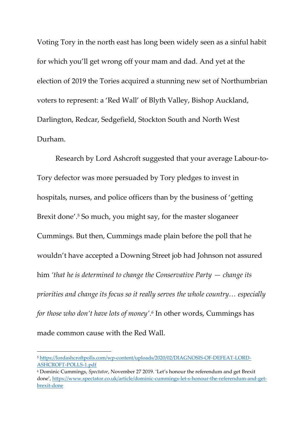Voting Tory in the north east has long been widely seen as a sinful habit for which you'll get wrong off your mam and dad. And yet at the election of 2019 the Tories acquired a stunning new set of Northumbrian voters to represent: a 'Red Wall' of Blyth Valley, Bishop Auckland, Darlington, Redcar, Sedgefield, Stockton South and North West Durham.

Research by Lord Ashcroft suggested that your average Labour-to-Tory defector was more persuaded by Tory pledges to invest in hospitals, nurses, and police officers than by the business of 'getting Brexit done'. <sup>5</sup> So much, you might say, for the master sloganeer Cummings. But then, Cummings made plain before the poll that he wouldn't have accepted a Downing Street job had Johnson not assured him *'that he is determined to change the Conservative Party — change its priorities and change its focus so it really serves the whole country… especially for those who don't have lots of money'. 6* In other words, Cummings has made common cause with the Red Wall.

<sup>5</sup> [https://lordashcroftpolls.com/wp-content/uploads/2020/02/DIAGNOSIS-OF-DEFEAT-LORD-](https://lordashcroftpolls.com/wp-content/uploads/2020/02/DIAGNOSIS-OF-DEFEAT-LORD-ASHCROFT-POLLS-1.pdf)[ASHCROFT-POLLS-1.pdf](https://lordashcroftpolls.com/wp-content/uploads/2020/02/DIAGNOSIS-OF-DEFEAT-LORD-ASHCROFT-POLLS-1.pdf)

<sup>6</sup> Dominic Cummings, *Spectator*, November 27 2019. 'Let's honour the referendum and get Brexit done', [https://www.spectator.co.uk/article/dominic-cummings-let-s-honour-the-referendum-and-get](https://www.spectator.co.uk/article/dominic-cummings-let-s-honour-the-referendum-and-get-brexit-done)[brexit-done](https://www.spectator.co.uk/article/dominic-cummings-let-s-honour-the-referendum-and-get-brexit-done)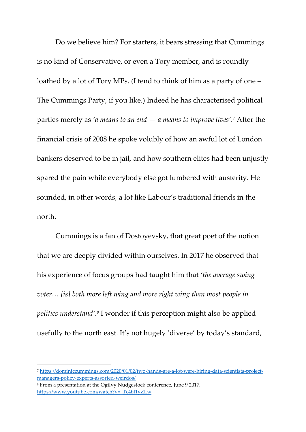Do we believe him? For starters, it bears stressing that Cummings is no kind of Conservative, or even a Tory member, and is roundly loathed by a lot of Tory MPs. (I tend to think of him as a party of one – The Cummings Party, if you like.) Indeed he has characterised political parties merely as *'a means to an end — a means to improve lives'. <sup>7</sup>* After the financial crisis of 2008 he spoke volubly of how an awful lot of London bankers deserved to be in jail, and how southern elites had been unjustly spared the pain while everybody else got lumbered with austerity. He sounded, in other words, a lot like Labour's traditional friends in the north.

Cummings is a fan of Dostoyevsky, that great poet of the notion that we are deeply divided within ourselves. In 2017 he observed that his experience of focus groups had taught him that *'the average swing voter...* [is] both more left wing and more right wing than most people in *politics understand'. 8* I wonder if this perception might also be applied usefully to the north east. It's not hugely 'diverse' by today's standard,

<sup>7</sup> [https://dominiccummings.com/2020/01/02/two-hands-are-a-lot-were-hiring-data-scientists-project](https://dominiccummings.com/2020/01/02/two-hands-are-a-lot-were-hiring-data-scientists-project-managers-policy-experts-assorted-weirdos/)[managers-policy-experts-assorted-weirdos/](https://dominiccummings.com/2020/01/02/two-hands-are-a-lot-were-hiring-data-scientists-project-managers-policy-experts-assorted-weirdos/)

<sup>8</sup> From a presentation at the Ogilvy Nudgestock conference, June 9 2017, [https://www.youtube.com/watch?v=\\_Tc4bl1yZLw](https://www.youtube.com/watch?v=_Tc4bl1yZLw)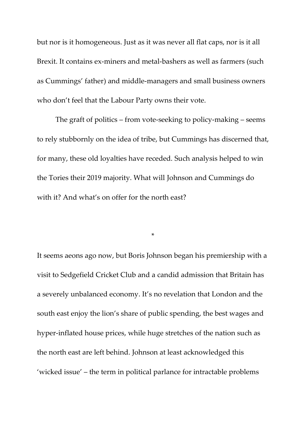but nor is it homogeneous. Just as it was never all flat caps, nor is it all Brexit. It contains ex-miners and metal-bashers as well as farmers (such as Cummings' father) and middle-managers and small business owners who don't feel that the Labour Party owns their vote.

The graft of politics – from vote-seeking to policy-making – seems to rely stubbornly on the idea of tribe, but Cummings has discerned that, for many, these old loyalties have receded. Such analysis helped to win the Tories their 2019 majority. What will Johnson and Cummings do with it? And what's on offer for the north east?

\*

It seems aeons ago now, but Boris Johnson began his premiership with a visit to Sedgefield Cricket Club and a candid admission that Britain has a severely unbalanced economy. It's no revelation that London and the south east enjoy the lion's share of public spending, the best wages and hyper-inflated house prices, while huge stretches of the nation such as the north east are left behind. Johnson at least acknowledged this 'wicked issue' – the term in political parlance for intractable problems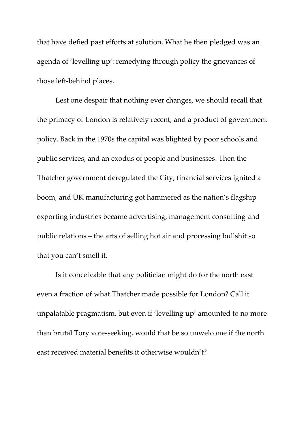that have defied past efforts at solution. What he then pledged was an agenda of 'levelling up': remedying through policy the grievances of those left‐behind places.

Lest one despair that nothing ever changes, we should recall that the primacy of London is relatively recent, and a product of government policy. Back in the 1970s the capital was blighted by poor schools and public services, and an exodus of people and businesses. Then the Thatcher government deregulated the City, financial services ignited a boom, and UK manufacturing got hammered as the nation's flagship exporting industries became advertising, management consulting and public relations – the arts of selling hot air and processing bullshit so that you can't smell it.

Is it conceivable that any politician might do for the north east even a fraction of what Thatcher made possible for London? Call it unpalatable pragmatism, but even if 'levelling up' amounted to no more than brutal Tory vote-seeking, would that be so unwelcome if the north east received material benefits it otherwise wouldn't?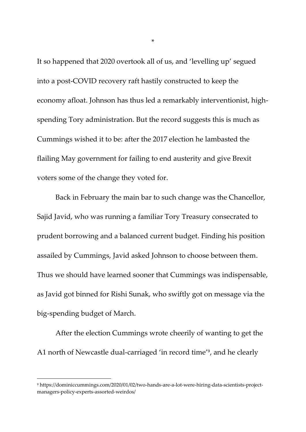It so happened that 2020 overtook all of us, and 'levelling up' segued into a post-COVID recovery raft hastily constructed to keep the economy afloat. Johnson has thus led a remarkably interventionist, highspending Tory administration. But the record suggests this is much as Cummings wished it to be: after the 2017 election he lambasted the flailing May government for failing to end austerity and give Brexit voters some of the change they voted for.

Back in February the main bar to such change was the Chancellor, Sajid Javid, who was running a familiar Tory Treasury consecrated to prudent borrowing and a balanced current budget. Finding his position assailed by Cummings, Javid asked Johnson to choose between them. Thus we should have learned sooner that Cummings was indispensable, as Javid got binned for Rishi Sunak, who swiftly got on message via the big-spending budget of March.

After the election Cummings wrote cheerily of wanting to get the A1 north of Newcastle dual-carriaged 'in record time' 9 , and he clearly

\*

<sup>9</sup> https://dominiccummings.com/2020/01/02/two-hands-are-a-lot-were-hiring-data-scientists-projectmanagers-policy-experts-assorted-weirdos/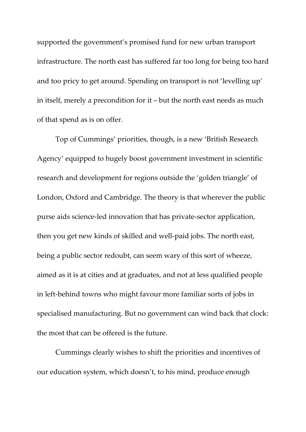supported the government's promised fund for new urban transport infrastructure. The north east has suffered far too long for being too hard and too pricy to get around. Spending on transport is not 'levelling up' in itself, merely a precondition for it – but the north east needs as much of that spend as is on offer.

Top of Cummings' priorities, though, is a new 'British Research Agency' equipped to hugely boost government investment in scientific research and development for regions outside the 'golden triangle' of London, Oxford and Cambridge. The theory is that wherever the public purse aids science-led innovation that has private-sector application, then you get new kinds of skilled and well-paid jobs. The north east, being a public sector redoubt, can seem wary of this sort of wheeze, aimed as it is at cities and at graduates, and not at less qualified people in left-behind towns who might favour more familiar sorts of jobs in specialised manufacturing. But no government can wind back that clock: the most that can be offered is the future.

Cummings clearly wishes to shift the priorities and incentives of our education system, which doesn't, to his mind, produce enough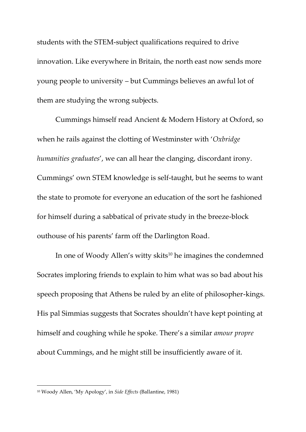students with the STEM-subject qualifications required to drive innovation. Like everywhere in Britain, the north east now sends more young people to university – but Cummings believes an awful lot of them are studying the wrong subjects.

Cummings himself read Ancient & Modern History at Oxford, so when he rails against the clotting of Westminster with '*Oxbridge humanities graduates*', we can all hear the clanging, discordant irony. Cummings' own STEM knowledge is self-taught, but he seems to want the state to promote for everyone an education of the sort he fashioned for himself during a sabbatical of private study in the breeze-block outhouse of his parents' farm off the Darlington Road.

In one of Woody Allen's witty skits<sup>10</sup> he imagines the condemned Socrates imploring friends to explain to him what was so bad about his speech proposing that Athens be ruled by an elite of philosopher-kings. His pal Simmias suggests that Socrates shouldn't have kept pointing at himself and coughing while he spoke. There's a similar *amour propre* about Cummings, and he might still be insufficiently aware of it.

<sup>10</sup> Woody Allen, 'My Apology', in *Side Effects* (Ballantine, 1981)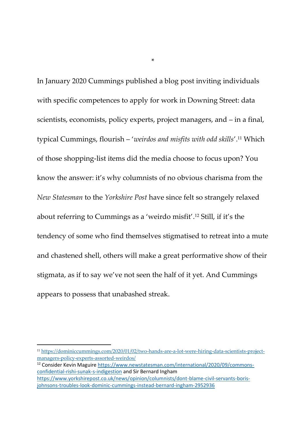In January 2020 Cummings published a blog post inviting individuals with specific competences to apply for work in Downing Street: data scientists, economists, policy experts, project managers, and – in a final, typical Cummings, flourish – '*weirdos and misfits with odd skills*'. <sup>11</sup> Which of those shopping-list items did the media choose to focus upon? You know the answer: it's why columnists of no obvious charisma from the *New Statesman* to the *Yorkshire Post* have since felt so strangely relaxed about referring to Cummings as a 'weirdo misfit'. <sup>12</sup> Still, if it's the tendency of some who find themselves stigmatised to retreat into a mute and chastened shell, others will make a great performative show of their stigmata, as if to say we've not seen the half of it yet. And Cummings appears to possess that unabashed streak.

\*

<sup>12</sup> Consider Kevin Maguire [https://www.newstatesman.com/international/2020/09/commons](https://www.newstatesman.com/international/2020/09/commons-confidential-rishi-sunak-s-indigestion)[confidential-rishi-sunak-s-indigestion](https://www.newstatesman.com/international/2020/09/commons-confidential-rishi-sunak-s-indigestion) and Sir Bernard Ingham [https://www.yorkshirepost.co.uk/news/opinion/columnists/dont-blame-civil-servants-boris](https://www.yorkshirepost.co.uk/news/opinion/columnists/dont-blame-civil-servants-boris-johnsons-troubles-look-dominic-cummings-instead-bernard-ingham-2952936)[johnsons-troubles-look-dominic-cummings-instead-bernard-ingham-2952936](https://www.yorkshirepost.co.uk/news/opinion/columnists/dont-blame-civil-servants-boris-johnsons-troubles-look-dominic-cummings-instead-bernard-ingham-2952936)

<sup>11</sup> [https://dominiccummings.com/2020/01/02/two-hands-are-a-lot-were-hiring-data-scientists-project](https://dominiccummings.com/2020/01/02/two-hands-are-a-lot-were-hiring-data-scientists-project-managers-policy-experts-assorted-weirdos/)[managers-policy-experts-assorted-weirdos/](https://dominiccummings.com/2020/01/02/two-hands-are-a-lot-were-hiring-data-scientists-project-managers-policy-experts-assorted-weirdos/)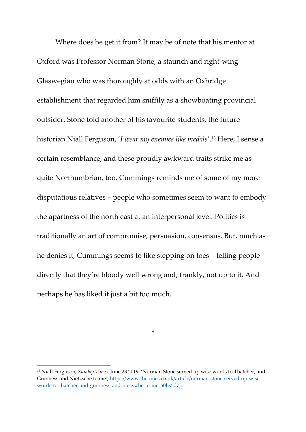Where does he get it from? It may be of note that his mentor at Oxford was Professor Norman Stone, a staunch and right-wing Glaswegian who was thoroughly at odds with an Oxbridge establishment that regarded him sniffily as a showboating provincial outsider. Stone told another of his favourite students, the future historian Niall Ferguson, '*I wear my enemies like medals*'. <sup>13</sup> Here, I sense a certain resemblance, and these proudly awkward traits strike me as quite Northumbrian, too. Cummings reminds me of some of my more disputatious relatives – people who sometimes seem to want to embody the apartness of the north east at an interpersonal level. Politics is traditionally an art of compromise, persuasion, consensus. But, much as he denies it, Cummings seems to like stepping on toes – telling people directly that they're bloody well wrong and, frankly, not up to it. And perhaps he has liked it just a bit too much.

\*

<sup>13</sup> Niall Ferguson, *Sunday Times*, June 23 2019, 'Norman Stone served up wise words to Thatcher, and Guinness and Nietzsche to me', [https://www.thetimes.co.uk/article/norman-stone-served-up-wise](https://www.thetimes.co.uk/article/norman-stone-served-up-wise-words-to-thatcher-and-guinness-and-nietzsche-to-me-n0hs5d7jp)[words-to-thatcher-and-guinness-and-nietzsche-to-me-n0hs5d7jp](https://www.thetimes.co.uk/article/norman-stone-served-up-wise-words-to-thatcher-and-guinness-and-nietzsche-to-me-n0hs5d7jp)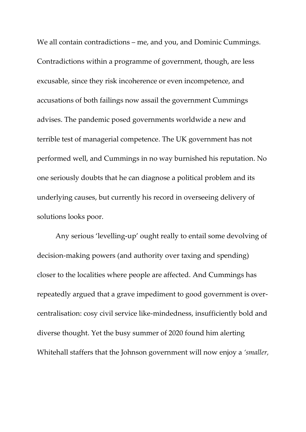We all contain contradictions – me, and you, and Dominic Cummings. Contradictions within a programme of government, though, are less excusable, since they risk incoherence or even incompetence, and accusations of both failings now assail the government Cummings advises. The pandemic posed governments worldwide a new and terrible test of managerial competence. The UK government has not performed well, and Cummings in no way burnished his reputation. No one seriously doubts that he can diagnose a political problem and its underlying causes, but currently his record in overseeing delivery of solutions looks poor.

Any serious 'levelling-up' ought really to entail some devolving of decision-making powers (and authority over taxing and spending) closer to the localities where people are affected. And Cummings has repeatedly argued that a grave impediment to good government is overcentralisation: cosy civil service like-mindedness, insufficiently bold and diverse thought. Yet the busy summer of 2020 found him alerting Whitehall staffers that the Johnson government will now enjoy a *'smaller,*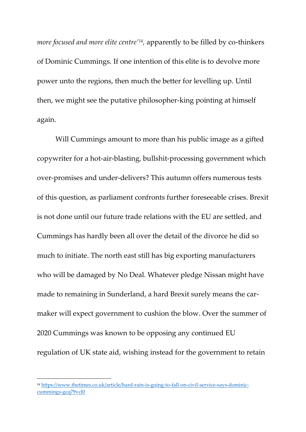*more focused and more elite centre'<sup>14</sup> ,* apparently to be filled by co-thinkers of Dominic Cummings. If one intention of this elite is to devolve more power unto the regions, then much the better for levelling up. Until then, we might see the putative philosopher-king pointing at himself again.

Will Cummings amount to more than his public image as a gifted copywriter for a hot-air-blasting, bullshit-processing government which over-promises and under-delivers? This autumn offers numerous tests of this question, as parliament confronts further foreseeable crises. Brexit is not done until our future trade relations with the EU are settled, and Cummings has hardly been all over the detail of the divorce he did so much to initiate. The north east still has big exporting manufacturers who will be damaged by No Deal. Whatever pledge Nissan might have made to remaining in Sunderland, a hard Brexit surely means the carmaker will expect government to cushion the blow. Over the summer of 2020 Cummings was known to be opposing any continued EU regulation of UK state aid, wishing instead for the government to retain

<sup>14</sup> [https://www.thetimes.co.uk/article/hard-rain-is-going-to-fall-on-civil-service-says-dominic](https://www.thetimes.co.uk/article/hard-rain-is-going-to-fall-on-civil-service-says-dominic-cummings-gcq79vcl0)[cummings-gcq79vcl0](https://www.thetimes.co.uk/article/hard-rain-is-going-to-fall-on-civil-service-says-dominic-cummings-gcq79vcl0)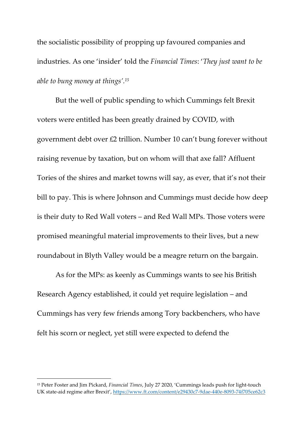the socialistic possibility of propping up favoured companies and industries. As one 'insider' told the *Financial Times*: '*They just want to be able to bung money at things'. 15*

But the well of public spending to which Cummings felt Brexit voters were entitled has been greatly drained by COVID, with government debt over £2 trillion. Number 10 can't bung forever without raising revenue by taxation, but on whom will that axe fall? Affluent Tories of the shires and market towns will say, as ever, that it's not their bill to pay. This is where Johnson and Cummings must decide how deep is their duty to Red Wall voters – and Red Wall MPs. Those voters were promised meaningful material improvements to their lives, but a new roundabout in Blyth Valley would be a meagre return on the bargain.

As for the MPs: as keenly as Cummings wants to see his British Research Agency established, it could yet require legislation – and Cummings has very few friends among Tory backbenchers, who have felt his scorn or neglect, yet still were expected to defend the

<sup>15</sup> Peter Foster and Jim Pickard, *Financial Times*, July 27 2020, 'Cummings leads push for light-touch UK state-aid regime after Brexit', <https://www.ft.com/content/e29430c7-9dae-440e-8093-74f705ce62c3>